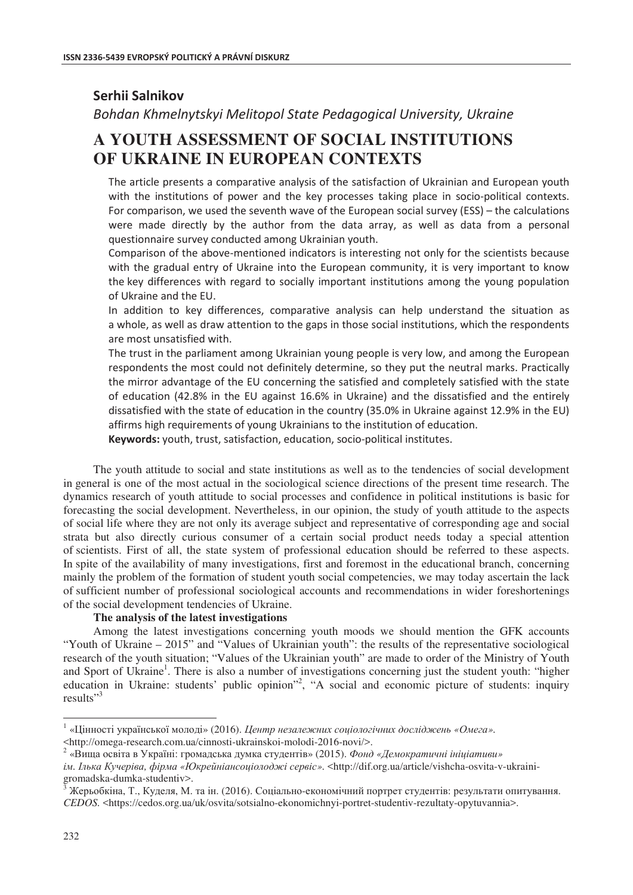# **Serhii Salnikov**

*Bohdan Khmelnytskyi Melitopol State Pedagogical University, Ukraine* 

# **A YOUTH ASSESSMENT OF SOCIAL INSTITUTIONS OF UKRAINE IN EUROPEAN CONTEXTS**

The article presents a comparative analysis of the satisfaction of Ukrainian and European vouth with the institutions of power and the key processes taking place in socio-political contexts. For comparison, we used the seventh wave of the European social survey (ESS) – the calculations were made directly by the author from the data array, as well as data from a personal guestionnaire survey conducted among Ukrainian youth.

Comparison of the above-mentioned indicators is interesting not only for the scientists because with the gradual entry of Ukraine into the European community, it is very important to know the key differences with regard to socially important institutions among the young population of Ukraine and the EU.

In addition to key differences, comparative analysis can help understand the situation as a whole, as well as draw attention to the gaps in those social institutions, which the respondents are most unsatisfied with.

The trust in the parliament among Ukrainian young people is very low, and among the European respondents the most could not definitely determine, so they put the neutral marks. Practically the mirror advantage of the EU concerning the satisfied and completely satisfied with the state of education (42.8% in the EU against 16.6% in Ukraine) and the dissatisfied and the entirely dissatisfied with the state of education in the country (35.0% in Ukraine against 12.9% in the EU) affirms high requirements of young Ukrainians to the institution of education.

Keywords: youth, trust, satisfaction, education, socio-political institutes.

The youth attitude to social and state institutions as well as to the tendencies of social development in general is one of the most actual in the sociological science directions of the present time research. The dynamics research of youth attitude to social processes and confidence in political institutions is basic for forecasting the social development. Nevertheless, in our opinion, the study of youth attitude to the aspects of social life where they are not only its average subject and representative of corresponding age and social strata but also directly curious consumer of a certain social product needs today a special attention of scientists. First of all, the state system of professional education should be referred to these aspects. In spite of the availability of many investigations, first and foremost in the educational branch, concerning mainly the problem of the formation of student youth social competencies, we may today ascertain the lack of sufficient number of professional sociological accounts and recommendations in wider foreshortenings of the social development tendencies of Ukraine.

# **The analysis of the latest investigations**

Among the latest investigations concerning youth moods we should mention the GFK accounts "Youth of Ukraine – 2015" and "Values of Ukrainian youth": the results of the representative sociological research of the youth situation; "Values of the Ukrainian youth" are made to order of the Ministry of Youth and Sport of Ukraine<sup>1</sup>. There is also a number of investigations concerning just the student youth: "higher education in Ukraine: students' public opinion"<sup>2</sup>, "A social and economic picture of students: inquiry results"<sup>3</sup>

<sup>−&</sup>lt;br><sup>1</sup> «Цінності української молоді» (2016). *Центр незалежних соціологічних досліджень «Омега»*.

<sup>&</sup>lt;http://omega-research.com.ua/cinnosti-ukrainskoi-molodi-2016-novi/>. 2

<sup>«</sup>Вища освіта в Україні: громадська думка студентів» (2015). Фонд «Демократичні ініціативи»

 $i<sub>M</sub>$ . *Ілька Кучеріва, фірма «Юкрейніансоціолоджі сервіс»*. <http://dif.org.ua/article/vishcha-osvita-v-ukrainigromadska-dumka-studentiv>.

Жерьобкіна, Т., Куделя, М. та ін. (2016). Соціально-економічний портрет студентів: результати опитування. *CEDOS.* <https://cedos.org.ua/uk/osvita/sotsialno-ekonomichnyi-portret-studentiv-rezultaty-opytuvannia>.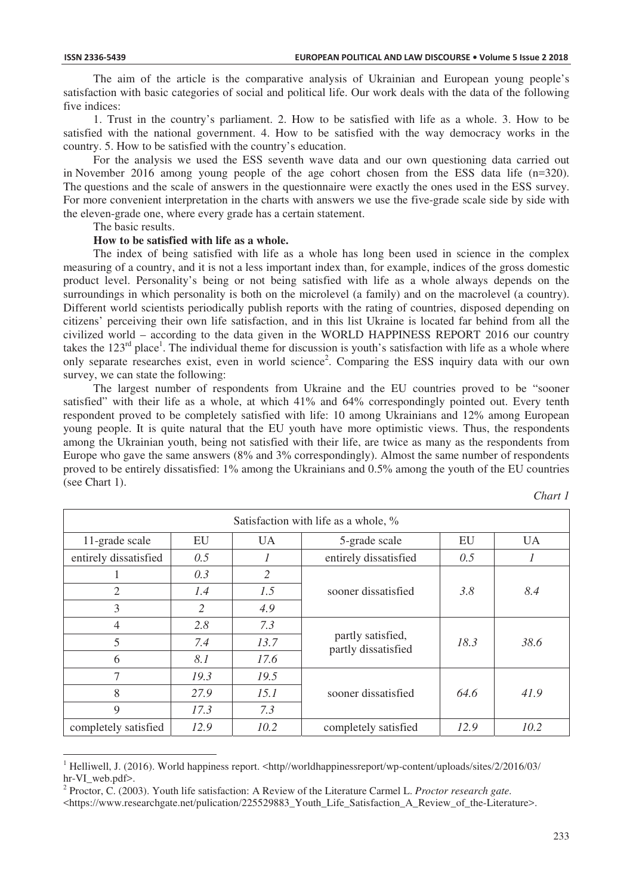$\overline{a}$ 

The aim of the article is the comparative analysis of Ukrainian and European young people's satisfaction with basic categories of social and political life. Our work deals with the data of the following five indices:

1. Trust in the country's parliament. 2. How to be satisfied with life as a whole. 3. How to be satisfied with the national government. 4. How to be satisfied with the way democracy works in the country. 5. How to be satisfied with the country's education.

For the analysis we used the ESS seventh wave data and our own questioning data carried out in November 2016 among young people of the age cohort chosen from the ESS data life (n=320). The questions and the scale of answers in the questionnaire were exactly the ones used in the ESS survey. For more convenient interpretation in the charts with answers we use the five-grade scale side by side with the eleven-grade one, where every grade has a certain statement.

The basic results.

## **How to be satisfied with life as a whole.**

The index of being satisfied with life as a whole has long been used in science in the complex measuring of a country, and it is not a less important index than, for example, indices of the gross domestic product level. Personality's being or not being satisfied with life as a whole always depends on the surroundings in which personality is both on the microlevel (a family) and on the macrolevel (a country). Different world scientists periodically publish reports with the rating of countries, disposed depending on citizens' perceiving their own life satisfaction, and in this list Ukraine is located far behind from all the civilized world – according to the data given in the WORLD HAPPINESS REPORT 2016 our country takes the  $123<sup>rd</sup>$  place<sup>1</sup>. The individual theme for discussion is youth's satisfaction with life as a whole where only separate researches exist, even in world science<sup>2</sup>. Comparing the ESS inquiry data with our own survey, we can state the following:

The largest number of respondents from Ukraine and the EU countries proved to be "sooner satisfied" with their life as a whole, at which 41% and 64% correspondingly pointed out. Every tenth respondent proved to be completely satisfied with life: 10 among Ukrainians and 12% among European young people. It is quite natural that the EU youth have more optimistic views. Thus, the respondents among the Ukrainian youth, being not satisfied with their life, are twice as many as the respondents from Europe who gave the same answers (8% and 3% correspondingly). Almost the same number of respondents proved to be entirely dissatisfied: 1% among the Ukrainians and 0.5% among the youth of the EU countries (see Chart 1).

| "<br>۰, |  |
|---------|--|
|---------|--|

| Satisfaction with life as a whole, % |      |           |                                          |      |           |
|--------------------------------------|------|-----------|------------------------------------------|------|-----------|
| 11-grade scale                       | EU   | <b>UA</b> | 5-grade scale                            | EU   | <b>UA</b> |
| entirely dissatisfied                | 0.5  |           | entirely dissatisfied                    | 0.5  |           |
|                                      | 0.3  | 2         |                                          |      |           |
| $\overline{2}$                       | 1.4  | 1.5       | sooner dissatisfied                      | 3.8  | 8.4       |
| 3                                    | 2    | 4.9       |                                          |      |           |
| 4                                    | 2.8  | 7.3       |                                          |      |           |
| 5                                    | 7.4  | 13.7      | partly satisfied,<br>partly dissatisfied | 18.3 | 38.6      |
| 6                                    | 8.1  | 17.6      |                                          |      |           |
| 7                                    | 19.3 | 19.5      |                                          |      |           |
| 8                                    | 27.9 | 15.1      | sooner dissatisfied                      | 64.6 | 41.9      |
| 9                                    | 17.3 | 7.3       |                                          |      |           |
| completely satisfied                 | 12.9 | 10.2      | completely satisfied                     | 12.9 | 10.2      |

<sup>&</sup>lt;sup>1</sup> Helliwell, J. (2016). World happiness report. <http//worldhappinessreport/wp-content/uploads/sites/2/2016/03/ hr-VI\_web.pdf>.

<sup>2</sup> Proctor, C. (2003). Youth life satisfaction: A Review of the Literature Carmel L. *Proctor research gate*.

<sup>&</sup>lt;https://www.researchgate.net/pulication/225529883\_Youth\_Life\_Satisfaction\_A\_Review\_of\_the-Literature>.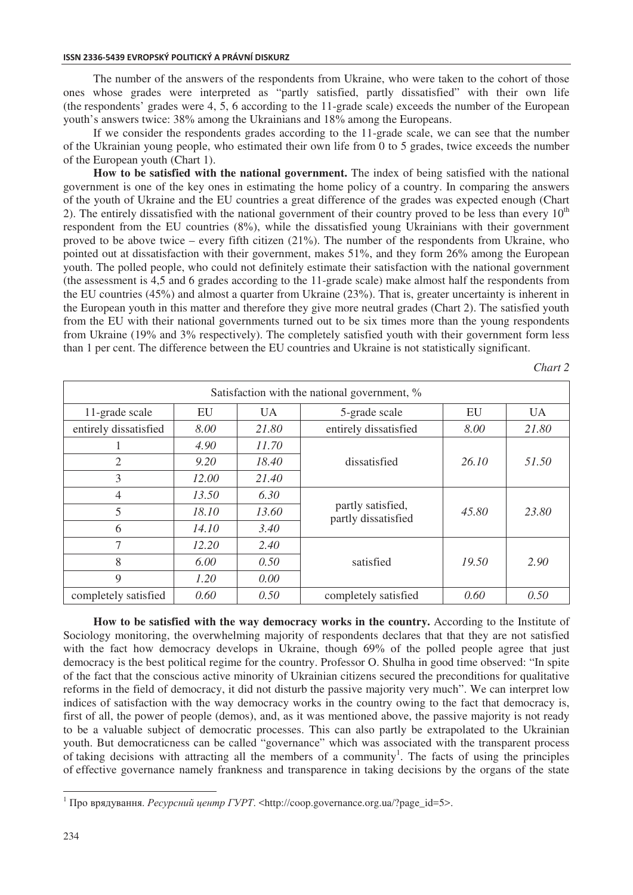### **ISSN 2336-5439 EVROPSKÝ POLITICKÝ A PRÁVNÍ DISKURZ**

The number of the answers of the respondents from Ukraine, who were taken to the cohort of those ones whose grades were interpreted as "partly satisfied, partly dissatisfied" with their own life (the respondents' grades were 4, 5, 6 according to the 11-grade scale) exceeds the number of the European youth's answers twice: 38% among the Ukrainians and 18% among the Europeans.

If we consider the respondents grades according to the 11-grade scale, we can see that the number of the Ukrainian young people, who estimated their own life from 0 to 5 grades, twice exceeds the number of the European youth (Chart 1).

**How to be satisfied with the national government.** The index of being satisfied with the national government is one of the key ones in estimating the home policy of a country. In comparing the answers of the youth of Ukraine and the EU countries a great difference of the grades was expected enough (Chart 2). The entirely dissatisfied with the national government of their country proved to be less than every  $10<sup>th</sup>$ respondent from the EU countries (8%), while the dissatisfied young Ukrainians with their government proved to be above twice – every fifth citizen (21%). The number of the respondents from Ukraine, who pointed out at dissatisfaction with their government, makes 51%, and they form 26% among the European youth. The polled people, who could not definitely estimate their satisfaction with the national government (the assessment is 4,5 and 6 grades according to the 11-grade scale) make almost half the respondents from the EU countries (45%) and almost a quarter from Ukraine (23%). That is, greater uncertainty is inherent in the European youth in this matter and therefore they give more neutral grades (Chart 2). The satisfied youth from the EU with their national governments turned out to be six times more than the young respondents from Ukraine (19% and 3% respectively). The completely satisfied youth with their government form less than 1 per cent. The difference between the EU countries and Ukraine is not statistically significant.

*Chart 2* 

| Satisfaction with the national government, % |       |           |                                          |       |           |
|----------------------------------------------|-------|-----------|------------------------------------------|-------|-----------|
| 11-grade scale                               | EU    | <b>UA</b> | 5-grade scale                            | EU    | <b>UA</b> |
| entirely dissatisfied                        | 8.00  | 21.80     | entirely dissatisfied                    | 8.00  | 21.80     |
|                                              | 4.90  | 11.70     |                                          |       |           |
| $\overline{2}$                               | 9.20  | 18.40     | dissatisfied                             | 26.10 | 51.50     |
| 3                                            | 12.00 | 21.40     |                                          |       |           |
| 4                                            | 13.50 | 6.30      |                                          |       |           |
| 5                                            | 18.10 | 13.60     | partly satisfied,<br>partly dissatisfied | 45.80 | 23.80     |
| 6                                            | 14.10 | 3.40      |                                          |       |           |
| 7                                            | 12.20 | 2.40      |                                          |       |           |
| 8                                            | 6.00  | 0.50      | satisfied                                | 19.50 | 2.90      |
| 9                                            | 1.20  | 0.00      |                                          |       |           |
| completely satisfied                         | 0.60  | 0.50      | completely satisfied                     | 0.60  | 0.50      |

**How to be satisfied with the way democracy works in the country.** According to the Institute of Sociology monitoring, the overwhelming majority of respondents declares that that they are not satisfied with the fact how democracy develops in Ukraine, though 69% of the polled people agree that just democracy is the best political regime for the country. Professor O. Shulha in good time observed: "In spite of the fact that the conscious active minority of Ukrainian citizens secured the preconditions for qualitative reforms in the field of democracy, it did not disturb the passive majority very much". We can interpret low indices of satisfaction with the way democracy works in the country owing to the fact that democracy is, first of all, the power of people (demos), and, as it was mentioned above, the passive majority is not ready to be a valuable subject of democratic processes. This can also partly be extrapolated to the Ukrainian youth. But democraticness can be called "governance" which was associated with the transparent process of taking decisions with attracting all the members of a community<sup>1</sup>. The facts of using the principles of effective governance namely frankness and transparence in taking decisions by the organs of the state

 $\overline{a}$ 

<sup>&</sup>lt;sup>1</sup> Про врядування. *Ресурсний центр ГУРТ*. <http://coop.governance.org.ua/?page\_id=5>.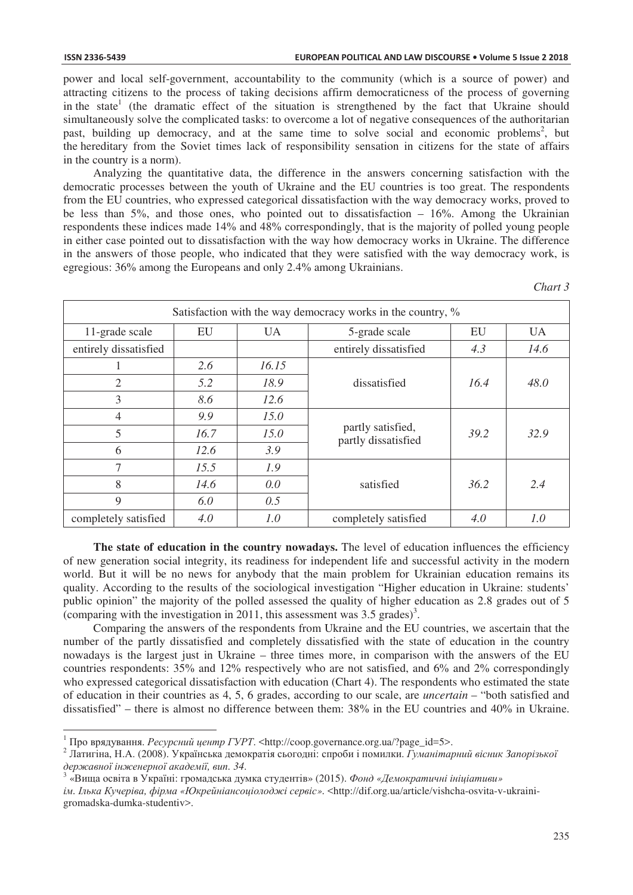power and local self-government, accountability to the community (which is a source of power) and attracting citizens to the process of taking decisions affirm democraticness of the process of governing in the state<sup>1</sup> (the dramatic effect of the situation is strengthened by the fact that Ukraine should simultaneously solve the complicated tasks: to overcome a lot of negative consequences of the authoritarian past, building up democracy, and at the same time to solve social and economic problems<sup>2</sup>, but the hereditary from the Soviet times lack of responsibility sensation in citizens for the state of affairs in the country is a norm).

Analyzing the quantitative data, the difference in the answers concerning satisfaction with the democratic processes between the youth of Ukraine and the EU countries is too great. The respondents from the EU countries, who expressed categorical dissatisfaction with the way democracy works, proved to be less than  $5\%$ , and those ones, who pointed out to dissatisfaction  $-16\%$ . Among the Ukrainian respondents these indices made 14% and 48% correspondingly, that is the majority of polled young people in either case pointed out to dissatisfaction with the way how democracy works in Ukraine. The difference in the answers of those people, who indicated that they were satisfied with the way democracy work, is egregious: 36% among the Europeans and only 2.4% among Ukrainians.

*Chart 3* 

| Satisfaction with the way democracy works in the country, % |      |           |                                          |      |           |
|-------------------------------------------------------------|------|-----------|------------------------------------------|------|-----------|
| 11-grade scale                                              | EU   | <b>UA</b> | 5-grade scale                            | EU   | <b>UA</b> |
| entirely dissatisfied                                       |      |           | entirely dissatisfied                    | 4.3  | 14.6      |
|                                                             | 2.6  | 16.15     |                                          |      |           |
| $\overline{2}$                                              | 5.2  | 18.9      | dissatisfied                             | 16.4 | 48.0      |
| 3                                                           | 8.6  | 12.6      |                                          |      |           |
| 4                                                           | 9.9  | 15.0      |                                          |      |           |
| 5                                                           | 16.7 | 15.0      | partly satisfied,<br>partly dissatisfied | 39.2 | 32.9      |
| 6                                                           | 12.6 | 3.9       |                                          |      |           |
| 7                                                           | 15.5 | 1.9       |                                          |      |           |
| 8                                                           | 14.6 | 0.0       | satisfied                                | 36.2 | 2.4       |
| 9                                                           | 6.0  | 0.5       |                                          |      |           |
| completely satisfied                                        | 4.0  | 1.0       | completely satisfied                     | 4.0  | 1.0       |

**The state of education in the country nowadays.** The level of education influences the efficiency of new generation social integrity, its readiness for independent life and successful activity in the modern world. But it will be no news for anybody that the main problem for Ukrainian education remains its quality. According to the results of the sociological investigation "Higher education in Ukraine: students' public opinion" the majority of the polled assessed the quality of higher education as 2.8 grades out of 5 (comparing with the investigation in 2011, this assessment was  $3.5$  grades)<sup>3</sup>.

Comparing the answers of the respondents from Ukraine and the EU countries, we ascertain that the number of the partly dissatisfied and completely dissatisfied with the state of education in the country nowadays is the largest just in Ukraine – three times more, in comparison with the answers of the EU countries respondents: 35% and 12% respectively who are not satisfied, and 6% and 2% correspondingly who expressed categorical dissatisfaction with education (Chart 4). The respondents who estimated the state of education in their countries as 4, 5, 6 grades, according to our scale, are *uncertain* – "both satisfied and dissatisfied" – there is almost no difference between them: 38% in the EU countries and 40% in Ukraine.

<sup>&</sup>lt;sup>1</sup> Про врядування. *Ресурсний центр ГУРТ*. <http://coop.governance.org.ua/?page id=5>.

<sup>2</sup> Латигіна, Н.А. (2008). Українська демократія сьогодні: спроби і помилки. Гуманітарний вісник Запорізької  $\partial$ ержавної інженерної академії, вип. 34.

<sup>«</sup>Виша освіта в Україні: громалська лумка стулентів» (2015). Фонд «Лемократичні інішіативи»

 $i$ *м. Ілька Кучеріва, фірма «Юкрейніансоціолоджі сервіс».* <http://dif.org.ua/article/vishcha-osvita-v-ukrainigromadska-dumka-studentiv>.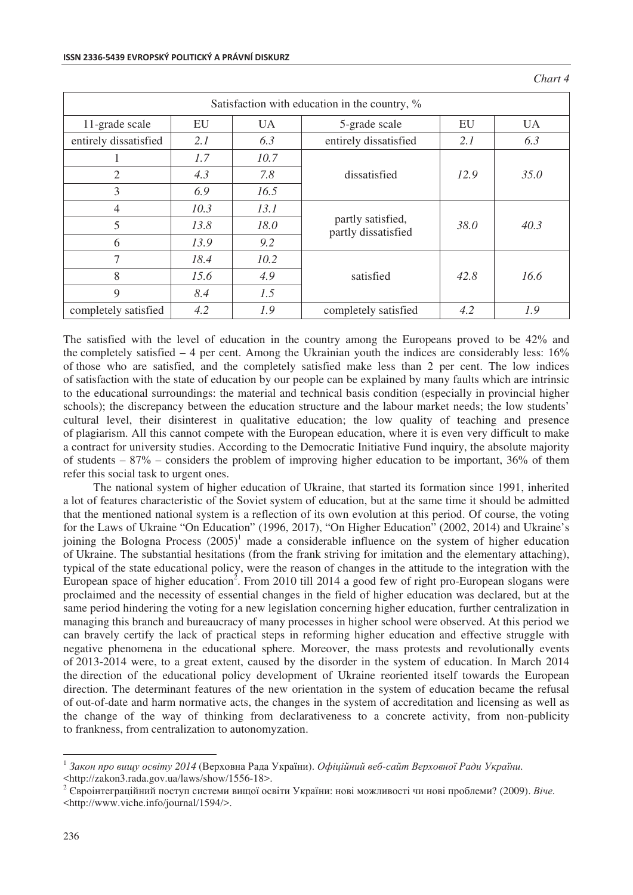| Satisfaction with education in the country, % |      |           |                                          |      |           |
|-----------------------------------------------|------|-----------|------------------------------------------|------|-----------|
| 11-grade scale                                | EU   | <b>UA</b> | 5-grade scale                            | EU   | <b>UA</b> |
| entirely dissatisfied                         | 2.1  | 6.3       | entirely dissatisfied                    | 2.1  | 6.3       |
|                                               | 1.7  | 10.7      |                                          |      |           |
| 2                                             | 4.3  | 7.8       | dissatisfied                             | 12.9 | 35.0      |
| 3                                             | 6.9  | 16.5      |                                          |      |           |
| 4                                             | 10.3 | 13.1      | partly satisfied,<br>partly dissatisfied | 38.0 | 40.3      |
| 5                                             | 13.8 | 18.0      |                                          |      |           |
| 6                                             | 13.9 | 9.2       |                                          |      |           |
| $\tau$                                        | 18.4 | 10.2      |                                          |      |           |
| 8                                             | 15.6 | 4.9       | satisfied                                | 42.8 | 16.6      |
| 9                                             | 8.4  | 1.5       |                                          |      |           |
| completely satisfied                          | 4.2  | 1.9       | completely satisfied                     | 4.2  | 1.9       |

The satisfied with the level of education in the country among the Europeans proved to be 42% and the completely satisfied – 4 per cent. Among the Ukrainian youth the indices are considerably less: 16% of those who are satisfied, and the completely satisfied make less than 2 per cent. The low indices of satisfaction with the state of education by our people can be explained by many faults which are intrinsic to the educational surroundings: the material and technical basis condition (especially in provincial higher schools); the discrepancy between the education structure and the labour market needs; the low students' cultural level, their disinterest in qualitative education; the low quality of teaching and presence of plagiarism. All this cannot compete with the European education, where it is even very difficult to make a contract for university studies. According to the Democratic Initiative Fund inquiry, the absolute majority of students – 87% – considers the problem of improving higher education to be important, 36% of them refer this social task to urgent ones.

The national system of higher education of Ukraine, that started its formation since 1991, inherited a lot of features characteristic of the Soviet system of education, but at the same time it should be admitted that the mentioned national system is a reflection of its own evolution at this period. Of course, the voting for the Laws of Ukraine "On Education" (1996, 2017), "On Higher Education" (2002, 2014) and Ukraine's joining the Bologna Process  $(2005)^1$  made a considerable influence on the system of higher education of Ukraine. The substantial hesitations (from the frank striving for imitation and the elementary attaching), typical of the state educational policy, were the reason of changes in the attitude to the integration with the European space of higher education<sup>2</sup>. From 2010 till 2014 a good few of right pro-European slogans were proclaimed and the necessity of essential changes in the field of higher education was declared, but at the same period hindering the voting for a new legislation concerning higher education, further centralization in managing this branch and bureaucracy of many processes in higher school were observed. At this period we can bravely certify the lack of practical steps in reforming higher education and effective struggle with negative phenomena in the educational sphere. Moreover, the mass protests and revolutionally events of 2013-2014 were, to a great extent, caused by the disorder in the system of education. In March 2014 the direction of the educational policy development of Ukraine reoriented itself towards the European direction. The determinant features of the new orientation in the system of education became the refusal of out-of-date and harm normative acts, the changes in the system of accreditation and licensing as well as the change of the way of thinking from declarativeness to a concrete activity, from non-publicity to frankness, from centralization to autonomyzation.

 $\overline{a}$ 

 $^1$  Закон про вищу освіту 2014 (Верховна Рада України). Офіційний веб-сайт Верховної Ради України. <http://zakon3.rada.gov.ua/laws/show/1556-18>.

<sup>&</sup>lt;sup>2</sup> Євроінтеграційний поступ системи вищої освіти України: нові можливості чи нові проблеми? (2009). Віче. <http://www.viche.info/journal/1594/>.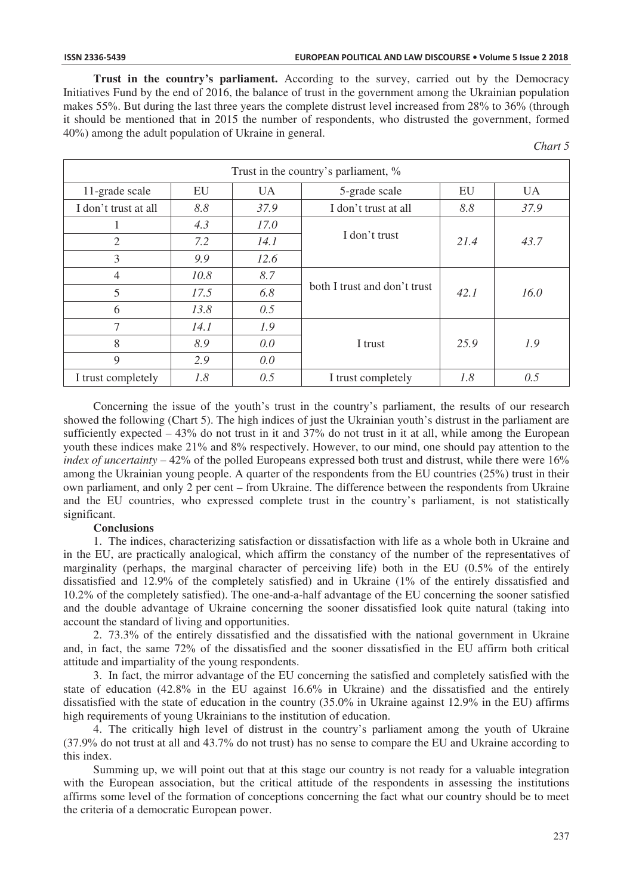**Trust in the country's parliament.** According to the survey, carried out by the Democracy Initiatives Fund by the end of 2016, the balance of trust in the government among the Ukrainian population makes 55%. But during the last three years the complete distrust level increased from 28% to 36% (through it should be mentioned that in 2015 the number of respondents, who distrusted the government, formed 40%) among the adult population of Ukraine in general.

| 17 H |  |
|------|--|
|      |  |

| Trust in the country's parliament, % |      |           |                                      |      |           |
|--------------------------------------|------|-----------|--------------------------------------|------|-----------|
| 11-grade scale                       | EU   | <b>UA</b> | 5-grade scale                        | EU   | <b>UA</b> |
| I don't trust at all                 | 8.8  | 37.9      | I don't trust at all                 | 8.8  | 37.9      |
|                                      | 4.3  | 17.0      |                                      |      |           |
| $\overline{2}$                       | 7.2  | 14.1      | I don't trust                        | 21.4 | 43.7      |
| 3                                    | 9.9  | 12.6      |                                      |      |           |
| $\overline{4}$                       | 10.8 | 8.7       |                                      |      |           |
| 5                                    | 17.5 | 6.8       | both I trust and don't trust<br>42.1 |      | 16.0      |
| 6                                    | 13.8 | 0.5       |                                      |      |           |
| 7                                    | 14.1 | 1.9       |                                      |      |           |
| 8                                    | 8.9  | 0.0       | I trust                              | 25.9 | 1.9       |
| 9                                    | 2.9  | 0.0       |                                      |      |           |
| I trust completely                   | 1.8  | 0.5       | I trust completely                   | 1.8  | 0.5       |

Concerning the issue of the youth's trust in the country's parliament, the results of our research showed the following (Chart 5). The high indices of just the Ukrainian youth's distrust in the parliament are sufficiently expected – 43% do not trust in it and 37% do not trust in it at all, while among the European youth these indices make 21% and 8% respectively. However, to our mind, one should pay attention to the *index of uncertainty* – 42% of the polled Europeans expressed both trust and distrust, while there were 16% among the Ukrainian young people. A quarter of the respondents from the EU countries (25%) trust in their own parliament, and only 2 per cent – from Ukraine. The difference between the respondents from Ukraine and the EU countries, who expressed complete trust in the country's parliament, is not statistically significant.

# **Conclusions**

1. The indices, characterizing satisfaction or dissatisfaction with life as a whole both in Ukraine and in the EU, are practically analogical, which affirm the constancy of the number of the representatives of marginality (perhaps, the marginal character of perceiving life) both in the EU (0.5% of the entirely dissatisfied and 12.9% of the completely satisfied) and in Ukraine (1% of the entirely dissatisfied and 10.2% of the completely satisfied). The one-and-a-half advantage of the EU concerning the sooner satisfied and the double advantage of Ukraine concerning the sooner dissatisfied look quite natural (taking into account the standard of living and opportunities.

2. 73.3% of the entirely dissatisfied and the dissatisfied with the national government in Ukraine and, in fact, the same 72% of the dissatisfied and the sooner dissatisfied in the EU affirm both critical attitude and impartiality of the young respondents.

3. In fact, the mirror advantage of the EU concerning the satisfied and completely satisfied with the state of education (42.8% in the EU against 16.6% in Ukraine) and the dissatisfied and the entirely dissatisfied with the state of education in the country (35.0% in Ukraine against 12.9% in the EU) affirms high requirements of young Ukrainians to the institution of education.

4. The critically high level of distrust in the country's parliament among the youth of Ukraine (37.9% do not trust at all and 43.7% do not trust) has no sense to compare the EU and Ukraine according to this index.

Summing up, we will point out that at this stage our country is not ready for a valuable integration with the European association, but the critical attitude of the respondents in assessing the institutions affirms some level of the formation of conceptions concerning the fact what our country should be to meet the criteria of a democratic European power.